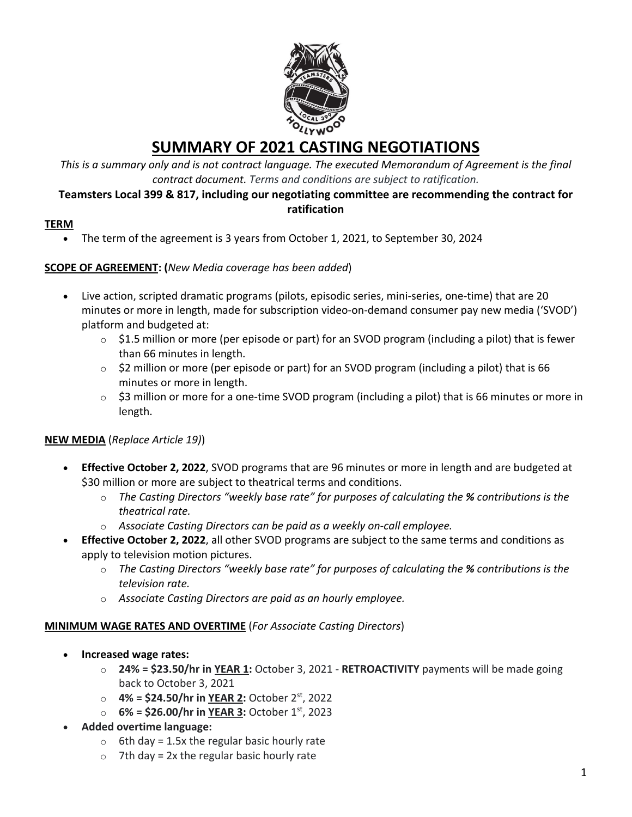

# **SUMMARY OF 2021 CASTING NEGOTIATIONS**

*This is a summary only and is not contract language. The executed Memorandum of Agreement is the final contract document. Terms and conditions are subject to ratification.*

#### **Teamsters Local 399 & 817, including our negotiating committee are recommending the contract for ratification**

## **TERM**

• The term of the agreement is 3 years from October 1, 2021, to September 30, 2024

## **SCOPE OF AGREEMENT: (***New Media coverage has been added*)

- Live action, scripted dramatic programs (pilots, episodic series, mini-series, one-time) that are 20 minutes or more in length, made for subscription video-on-demand consumer pay new media ('SVOD') platform and budgeted at:
	- $\circ$  \$1.5 million or more (per episode or part) for an SVOD program (including a pilot) that is fewer than 66 minutes in length.
	- o \$2 million or more (per episode or part) for an SVOD program (including a pilot) that is 66 minutes or more in length.
	- $\circ$  \$3 million or more for a one-time SVOD program (including a pilot) that is 66 minutes or more in length.

# **NEW MEDIA** (*Replace Article 19)*)

- **Effective October 2, 2022**, SVOD programs that are 96 minutes or more in length and are budgeted at \$30 million or more are subject to theatrical terms and conditions.
	- o *The Casting Directors "weekly base rate" for purposes of calculating the % contributions is the theatrical rate.*
	- o *Associate Casting Directors can be paid as a weekly on-call employee.*
- **Effective October 2, 2022**, all other SVOD programs are subject to the same terms and conditions as apply to television motion pictures.
	- o *The Casting Directors "weekly base rate" for purposes of calculating the % contributions is the television rate.*
	- o *Associate Casting Directors are paid as an hourly employee.*

#### **MINIMUM WAGE RATES AND OVERTIME** (*For Associate Casting Directors*)

- **Increased wage rates:**
	- o **24% = \$23.50/hr in YEAR 1:** October 3, 2021 **RETROACTIVITY** payments will be made going back to October 3, 2021
	- o **4% = \$24.50/hr in YEAR 2:** October 2st, 2022
	- o **6% = \$26.00/hr in YEAR 3:** October 1st, 2023
- **Added overtime language:**
	- $\circ$  6th day = 1.5x the regular basic hourly rate
	- $\circ$  7th day = 2x the regular basic hourly rate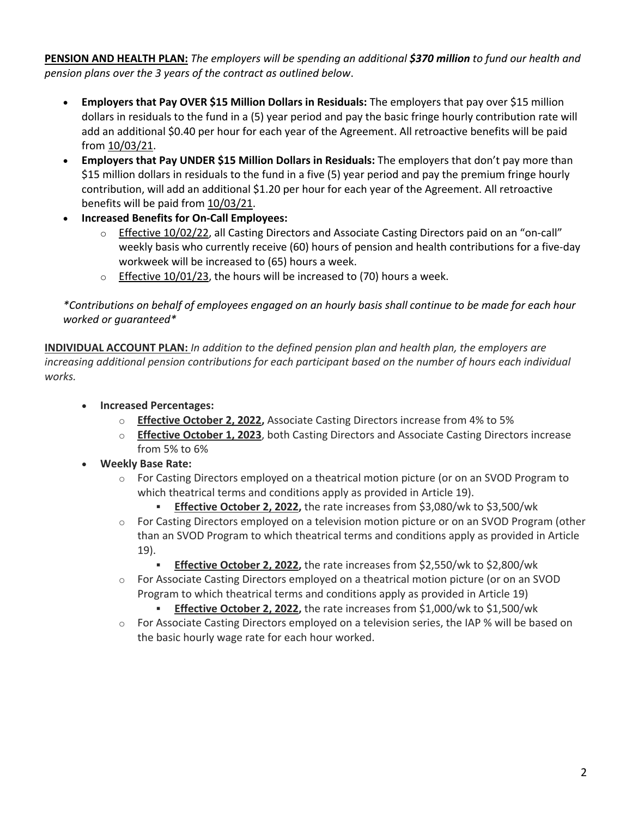**PENSION AND HEALTH PLAN:** *The employers will be spending an additional \$370 million to fund our health and pension plans over the 3 years of the contract as outlined below*.

- **Employers that Pay OVER \$15 Million Dollars in Residuals:** The employers that pay over \$15 million dollars in residuals to the fund in a (5) year period and pay the basic fringe hourly contribution rate will add an additional \$0.40 per hour for each year of the Agreement. All retroactive benefits will be paid from 10/03/21.
- **Employers that Pay UNDER \$15 Million Dollars in Residuals:** The employers that don't pay more than \$15 million dollars in residuals to the fund in a five (5) year period and pay the premium fringe hourly contribution, will add an additional \$1.20 per hour for each year of the Agreement. All retroactive benefits will be paid from 10/03/21.
- **Increased Benefits for On-Call Employees:**
	- o Effective 10/02/22, all Casting Directors and Associate Casting Directors paid on an "on-call" weekly basis who currently receive (60) hours of pension and health contributions for a five-day workweek will be increased to (65) hours a week.
	- $\circ$  Effective 10/01/23, the hours will be increased to (70) hours a week.

*\*Contributions on behalf of employees engaged on an hourly basis shall continue to be made for each hour worked or guaranteed\**

**INDIVIDUAL ACCOUNT PLAN:** *In addition to the defined pension plan and health plan, the employers are increasing additional pension contributions for each participant based on the number of hours each individual works.*

- **Increased Percentages:**
	- o **Effective October 2, 2022,** Associate Casting Directors increase from 4% to 5%
	- o **Effective October 1, 2023**, both Casting Directors and Associate Casting Directors increase from 5% to 6%
- **Weekly Base Rate:**
	- $\circ$  For Casting Directors employed on a theatrical motion picture (or on an SVOD Program to which theatrical terms and conditions apply as provided in Article 19).
		- **Effective October 2, 2022,** the rate increases from \$3,080/wk to \$3,500/wk
	- o For Casting Directors employed on a television motion picture or on an SVOD Program (other than an SVOD Program to which theatrical terms and conditions apply as provided in Article 19).
		- **Effective October 2, 2022,** the rate increases from \$2,550/wk to \$2,800/wk
	- o For Associate Casting Directors employed on a theatrical motion picture (or on an SVOD Program to which theatrical terms and conditions apply as provided in Article 19)
		- **Effective October 2, 2022,** the rate increases from \$1,000/wk to \$1,500/wk
	- o For Associate Casting Directors employed on a television series, the IAP % will be based on the basic hourly wage rate for each hour worked.